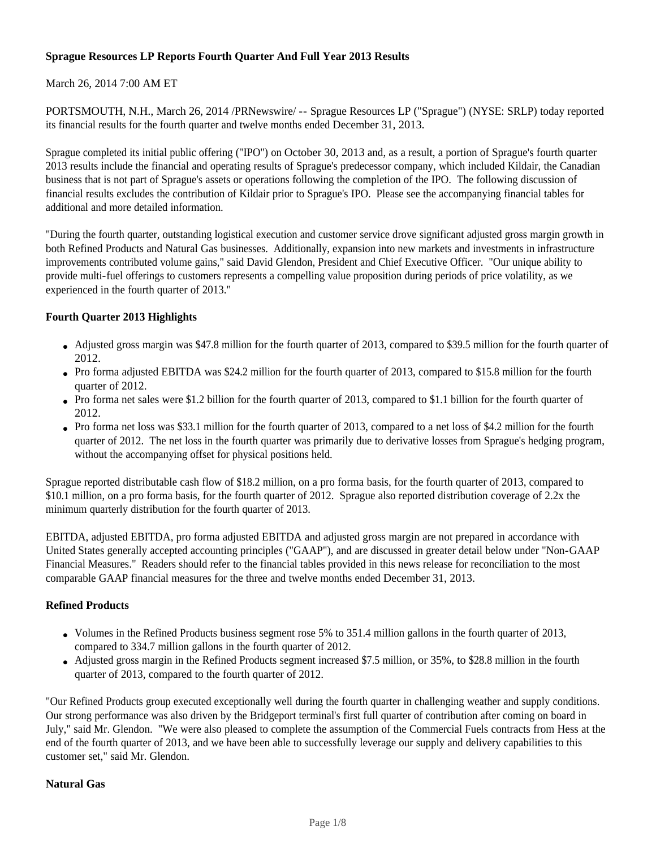# **Sprague Resources LP Reports Fourth Quarter And Full Year 2013 Results**

# March 26, 2014 7:00 AM ET

PORTSMOUTH, N.H., March 26, 2014 /PRNewswire/ -- Sprague Resources LP ("Sprague") (NYSE: SRLP) today reported its financial results for the fourth quarter and twelve months ended December 31, 2013.

Sprague completed its initial public offering ("IPO") on October 30, 2013 and, as a result, a portion of Sprague's fourth quarter 2013 results include the financial and operating results of Sprague's predecessor company, which included Kildair, the Canadian business that is not part of Sprague's assets or operations following the completion of the IPO. The following discussion of financial results excludes the contribution of Kildair prior to Sprague's IPO. Please see the accompanying financial tables for additional and more detailed information.

"During the fourth quarter, outstanding logistical execution and customer service drove significant adjusted gross margin growth in both Refined Products and Natural Gas businesses. Additionally, expansion into new markets and investments in infrastructure improvements contributed volume gains," said David Glendon, President and Chief Executive Officer. "Our unique ability to provide multi-fuel offerings to customers represents a compelling value proposition during periods of price volatility, as we experienced in the fourth quarter of 2013."

# **Fourth Quarter 2013 Highlights**

- Adjusted gross margin was \$47.8 million for the fourth quarter of 2013, compared to \$39.5 million for the fourth quarter of 2012.
- Pro forma adjusted EBITDA was \$24.2 million for the fourth quarter of 2013, compared to \$15.8 million for the fourth quarter of 2012.
- Pro forma net sales were \$1.2 billion for the fourth quarter of 2013, compared to \$1.1 billion for the fourth quarter of 2012.
- Pro forma net loss was \$33.1 million for the fourth quarter of 2013, compared to a net loss of \$4.2 million for the fourth quarter of 2012. The net loss in the fourth quarter was primarily due to derivative losses from Sprague's hedging program, without the accompanying offset for physical positions held.

Sprague reported distributable cash flow of \$18.2 million, on a pro forma basis, for the fourth quarter of 2013, compared to \$10.1 million, on a pro forma basis, for the fourth quarter of 2012. Sprague also reported distribution coverage of 2.2x the minimum quarterly distribution for the fourth quarter of 2013.

EBITDA, adjusted EBITDA, pro forma adjusted EBITDA and adjusted gross margin are not prepared in accordance with United States generally accepted accounting principles ("GAAP"), and are discussed in greater detail below under "Non-GAAP Financial Measures." Readers should refer to the financial tables provided in this news release for reconciliation to the most comparable GAAP financial measures for the three and twelve months ended December 31, 2013.

## **Refined Products**

- Volumes in the Refined Products business segment rose 5% to 351.4 million gallons in the fourth quarter of 2013, compared to 334.7 million gallons in the fourth quarter of 2012.
- Adjusted gross margin in the Refined Products segment increased \$7.5 million, or 35%, to \$28.8 million in the fourth quarter of 2013, compared to the fourth quarter of 2012.

"Our Refined Products group executed exceptionally well during the fourth quarter in challenging weather and supply conditions. Our strong performance was also driven by the Bridgeport terminal's first full quarter of contribution after coming on board in July," said Mr. Glendon. "We were also pleased to complete the assumption of the Commercial Fuels contracts from Hess at the end of the fourth quarter of 2013, and we have been able to successfully leverage our supply and delivery capabilities to this customer set," said Mr. Glendon.

## **Natural Gas**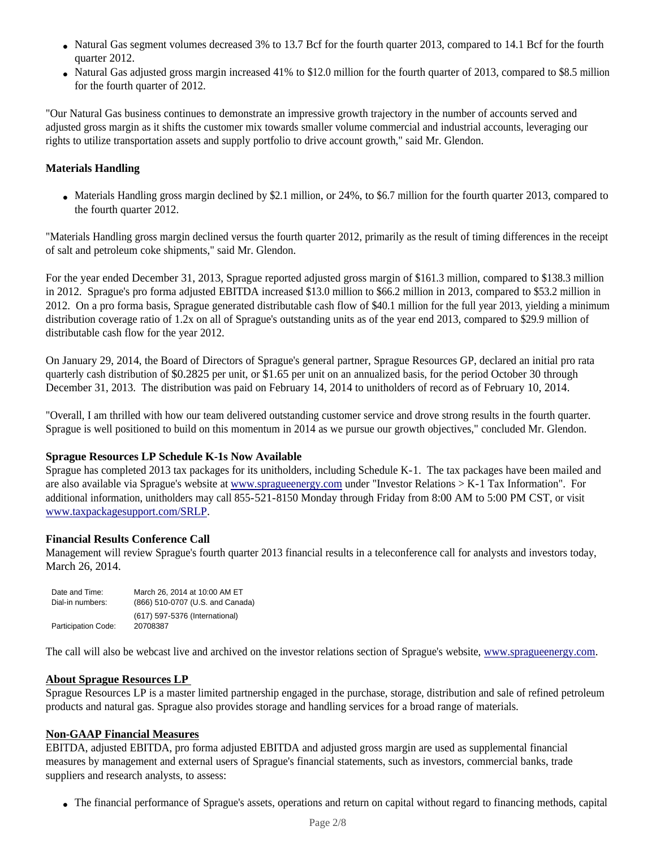- Natural Gas segment volumes decreased 3% to 13.7 Bcf for the fourth quarter 2013, compared to 14.1 Bcf for the fourth quarter 2012.
- Natural Gas adjusted gross margin increased 41% to \$12.0 million for the fourth quarter of 2013, compared to \$8.5 million for the fourth quarter of 2012.

"Our Natural Gas business continues to demonstrate an impressive growth trajectory in the number of accounts served and adjusted gross margin as it shifts the customer mix towards smaller volume commercial and industrial accounts, leveraging our rights to utilize transportation assets and supply portfolio to drive account growth," said Mr. Glendon.

# **Materials Handling**

• Materials Handling gross margin declined by \$2.1 million, or 24%, to \$6.7 million for the fourth quarter 2013, compared to the fourth quarter 2012.

"Materials Handling gross margin declined versus the fourth quarter 2012, primarily as the result of timing differences in the receipt of salt and petroleum coke shipments," said Mr. Glendon.

For the year ended December 31, 2013, Sprague reported adjusted gross margin of \$161.3 million, compared to \$138.3 million in 2012. Sprague's pro forma adjusted EBITDA increased \$13.0 million to \$66.2 million in 2013, compared to \$53.2 million in 2012. On a pro forma basis, Sprague generated distributable cash flow of \$40.1 million for the full year 2013, yielding a minimum distribution coverage ratio of 1.2x on all of Sprague's outstanding units as of the year end 2013, compared to \$29.9 million of distributable cash flow for the year 2012.

On January 29, 2014, the Board of Directors of Sprague's general partner, Sprague Resources GP, declared an initial pro rata quarterly cash distribution of \$0.2825 per unit, or \$1.65 per unit on an annualized basis, for the period October 30 through December 31, 2013. The distribution was paid on February 14, 2014 to unitholders of record as of February 10, 2014.

"Overall, I am thrilled with how our team delivered outstanding customer service and drove strong results in the fourth quarter. Sprague is well positioned to build on this momentum in 2014 as we pursue our growth objectives," concluded Mr. Glendon.

## **Sprague Resources LP Schedule K-1s Now Available**

Sprague has completed 2013 tax packages for its unitholders, including Schedule K-1. The tax packages have been mailed and are also available via Sprague's website at www.spragueenergy.com under "Investor Relations > K-1 Tax Information". For additional information, unitholders may call 855-521-8150 Monday through Friday from 8:00 AM to 5:00 PM CST, or visit www.taxpackagesupport.com/SRLP.

## **Financial Results Conference Call**

Management will review Sprague's fourth quarter 2013 financial results in a teleconference call for analysts and investors today, March 26, 2014.

| Date and Time:      | March 26, 2014 at 10:00 AM ET    |
|---------------------|----------------------------------|
| Dial-in numbers:    | (866) 510-0707 (U.S. and Canada) |
|                     | (617) 597-5376 (International)   |
| Participation Code: | 20708387                         |

The call will also be webcast live and archived on the investor relations section of Sprague's website, www.spragueenergy.com.

## **About Sprague Resources LP**

Sprague Resources LP is a master limited partnership engaged in the purchase, storage, distribution and sale of refined petroleum products and natural gas. Sprague also provides storage and handling services for a broad range of materials.

### **Non-GAAP Financial Measures**

EBITDA, adjusted EBITDA, pro forma adjusted EBITDA and adjusted gross margin are used as supplemental financial measures by management and external users of Sprague's financial statements, such as investors, commercial banks, trade suppliers and research analysts, to assess:

• The financial performance of Sprague's assets, operations and return on capital without regard to financing methods, capital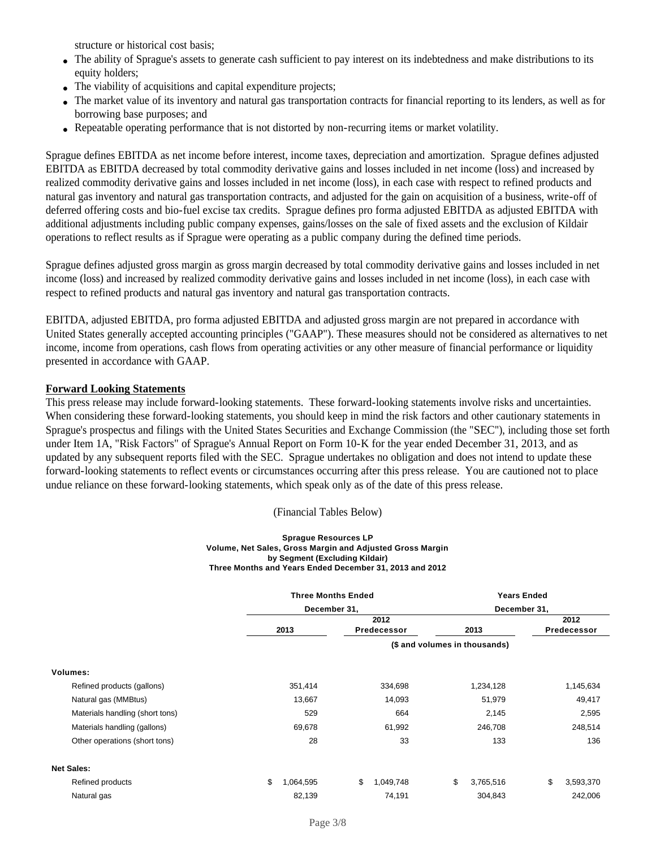structure or historical cost basis;

- The ability of Sprague's assets to generate cash sufficient to pay interest on its indebtedness and make distributions to its equity holders;
- The viability of acquisitions and capital expenditure projects;
- The market value of its inventory and natural gas transportation contracts for financial reporting to its lenders, as well as for borrowing base purposes; and
- Repeatable operating performance that is not distorted by non-recurring items or market volatility.

Sprague defines EBITDA as net income before interest, income taxes, depreciation and amortization. Sprague defines adjusted EBITDA as EBITDA decreased by total commodity derivative gains and losses included in net income (loss) and increased by realized commodity derivative gains and losses included in net income (loss), in each case with respect to refined products and natural gas inventory and natural gas transportation contracts, and adjusted for the gain on acquisition of a business, write-off of deferred offering costs and bio-fuel excise tax credits. Sprague defines pro forma adjusted EBITDA as adjusted EBITDA with additional adjustments including public company expenses, gains/losses on the sale of fixed assets and the exclusion of Kildair operations to reflect results as if Sprague were operating as a public company during the defined time periods.

Sprague defines adjusted gross margin as gross margin decreased by total commodity derivative gains and losses included in net income (loss) and increased by realized commodity derivative gains and losses included in net income (loss), in each case with respect to refined products and natural gas inventory and natural gas transportation contracts.

EBITDA, adjusted EBITDA, pro forma adjusted EBITDA and adjusted gross margin are not prepared in accordance with United States generally accepted accounting principles ("GAAP"). These measures should not be considered as alternatives to net income, income from operations, cash flows from operating activities or any other measure of financial performance or liquidity presented in accordance with GAAP.

### **Forward Looking Statements**

This press release may include forward-looking statements. These forward-looking statements involve risks and uncertainties. When considering these forward-looking statements, you should keep in mind the risk factors and other cautionary statements in Sprague's prospectus and filings with the United States Securities and Exchange Commission (the "SEC"), including those set forth under Item 1A, "Risk Factors" of Sprague's Annual Report on Form 10-K for the year ended December 31, 2013, and as updated by any subsequent reports filed with the SEC. Sprague undertakes no obligation and does not intend to update these forward-looking statements to reflect events or circumstances occurring after this press release. You are cautioned not to place undue reliance on these forward-looking statements, which speak only as of the date of this press release.

(Financial Tables Below)

### **Sprague Resources LP Volume, Net Sales, Gross Margin and Adjusted Gross Margin by Segment (Excluding Kildair) Three Months and Years Ended December 31, 2013 and 2012**

|                                 | <b>Three Months Ended</b> |                               | <b>Years Ended</b><br>December 31, |                     |  |  |
|---------------------------------|---------------------------|-------------------------------|------------------------------------|---------------------|--|--|
|                                 | December 31,              |                               |                                    |                     |  |  |
|                                 | 2013                      | 2012<br>Predecessor           | 2013                               | 2012<br>Predecessor |  |  |
|                                 |                           | (\$ and volumes in thousands) |                                    |                     |  |  |
| Volumes:                        |                           |                               |                                    |                     |  |  |
| Refined products (gallons)      | 351,414                   | 334,698                       | 1,234,128                          | 1,145,634           |  |  |
| Natural gas (MMBtus)            | 13,667                    | 14,093                        | 51,979                             | 49,417              |  |  |
| Materials handling (short tons) | 529                       | 664                           | 2,145                              | 2,595               |  |  |
| Materials handling (gallons)    | 69,678                    | 61,992                        | 246,708                            | 248,514             |  |  |
| Other operations (short tons)   | 28                        | 33                            | 133                                | 136                 |  |  |
| <b>Net Sales:</b>               |                           |                               |                                    |                     |  |  |
| Refined products                | \$<br>1,064,595           | \$<br>1,049,748               | \$<br>3,765,516                    | \$<br>3,593,370     |  |  |
| Natural gas                     | 82,139                    | 74,191                        | 304,843                            | 242,006             |  |  |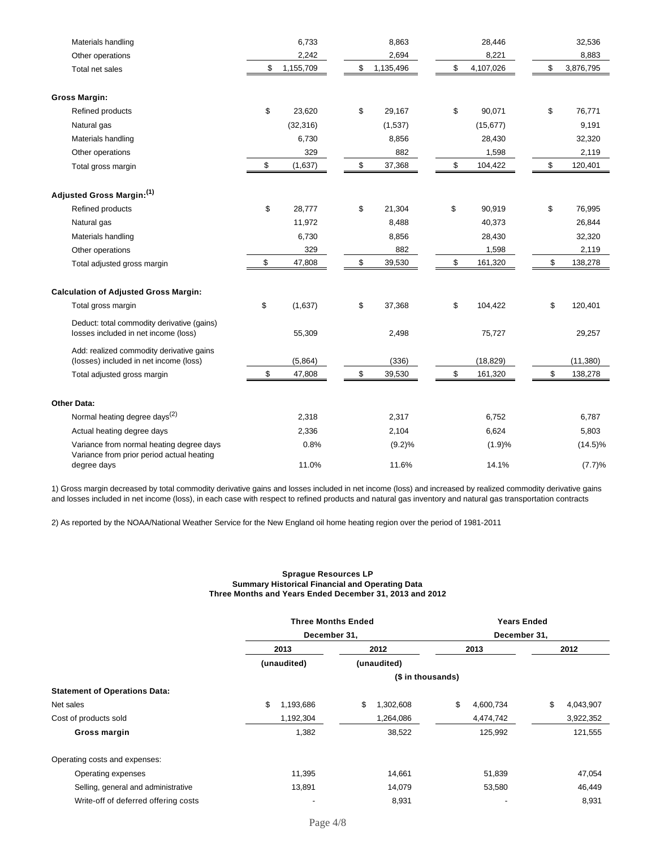| Materials handling                                                                    | 6,733           | 8,863           | 28,446          | 32,536          |
|---------------------------------------------------------------------------------------|-----------------|-----------------|-----------------|-----------------|
| Other operations                                                                      | 2,242           | 2,694           | 8,221           | 8,883           |
| Total net sales                                                                       | \$<br>1,155,709 | \$<br>1,135,496 | \$<br>4,107,026 | \$<br>3,876,795 |
| <b>Gross Margin:</b>                                                                  |                 |                 |                 |                 |
| Refined products                                                                      | \$<br>23,620    | \$<br>29,167    | \$<br>90,071    | \$<br>76,771    |
| Natural gas                                                                           | (32, 316)       | (1,537)         | (15, 677)       | 9,191           |
| Materials handling                                                                    | 6,730           | 8,856           | 28,430          | 32,320          |
| Other operations                                                                      | 329             | 882             | 1,598           | 2,119           |
| Total gross margin                                                                    | \$<br>(1,637)   | \$<br>37,368    | \$<br>104,422   | \$<br>120,401   |
| Adjusted Gross Margin:(1)                                                             |                 |                 |                 |                 |
| Refined products                                                                      | \$<br>28,777    | \$<br>21,304    | \$<br>90,919    | \$<br>76,995    |
| Natural gas                                                                           | 11,972          | 8,488           | 40,373          | 26,844          |
| Materials handling                                                                    | 6,730           | 8,856           | 28,430          | 32,320          |
| Other operations                                                                      | 329             | 882             | 1,598           | 2,119           |
| Total adjusted gross margin                                                           | \$<br>47,808    | \$<br>39,530    | \$<br>161,320   | \$<br>138,278   |
| <b>Calculation of Adjusted Gross Margin:</b>                                          |                 |                 |                 |                 |
| Total gross margin                                                                    | \$<br>(1,637)   | \$<br>37,368    | \$<br>104,422   | \$<br>120,401   |
| Deduct: total commodity derivative (gains)<br>losses included in net income (loss)    | 55,309          | 2,498           | 75,727          | 29,257          |
| Add: realized commodity derivative gains<br>(losses) included in net income (loss)    | (5,864)         | (336)           | (18, 829)       | (11, 380)       |
| Total adjusted gross margin                                                           | \$<br>47,808    | \$<br>39,530    | \$<br>161,320   | \$<br>138,278   |
| <b>Other Data:</b>                                                                    |                 |                 |                 |                 |
| Normal heating degree days <sup>(2)</sup>                                             | 2,318           | 2,317           | 6,752           | 6,787           |
| Actual heating degree days                                                            | 2,336           | 2,104           | 6,624           | 5,803           |
| Variance from normal heating degree days<br>Variance from prior period actual heating | 0.8%            | (9.2)%          | (1.9)%          | $(14.5)\%$      |
| degree days                                                                           | 11.0%           | 11.6%           | 14.1%           | (7.7)%          |

1) Gross margin decreased by total commodity derivative gains and losses included in net income (loss) and increased by realized commodity derivative gains and losses included in net income (loss), in each case with respect to refined products and natural gas inventory and natural gas transportation contracts

2) As reported by the NOAA/National Weather Service for the New England oil home heating region over the period of 1981-2011

### **Sprague Resources LP Summary Historical Financial and Operating Data Three Months and Years Ended December 31, 2013 and 2012**

|                                      | <b>Three Months Ended</b> |                   | <b>Years Ended</b> |                 |  |  |
|--------------------------------------|---------------------------|-------------------|--------------------|-----------------|--|--|
|                                      | December 31,              |                   | December 31,       |                 |  |  |
|                                      | 2013                      | 2012              | 2013               | 2012            |  |  |
|                                      | (unaudited)               | (unaudited)       |                    |                 |  |  |
|                                      |                           | (\$ in thousands) |                    |                 |  |  |
| <b>Statement of Operations Data:</b> |                           |                   |                    |                 |  |  |
| Net sales                            | \$<br>1,193,686           | \$<br>1,302,608   | \$<br>4,600,734    | \$<br>4,043,907 |  |  |
| Cost of products sold                | 1,192,304                 | 1,264,086         | 4,474,742          | 3,922,352       |  |  |
| Gross margin                         | 1,382                     | 38,522            | 125,992            | 121,555         |  |  |
| Operating costs and expenses:        |                           |                   |                    |                 |  |  |
| Operating expenses                   | 11,395                    | 14,661            | 51,839             | 47,054          |  |  |
| Selling, general and administrative  | 13,891                    | 14,079            | 53,580             | 46,449          |  |  |
| Write-off of deferred offering costs |                           | 8,931             |                    | 8,931           |  |  |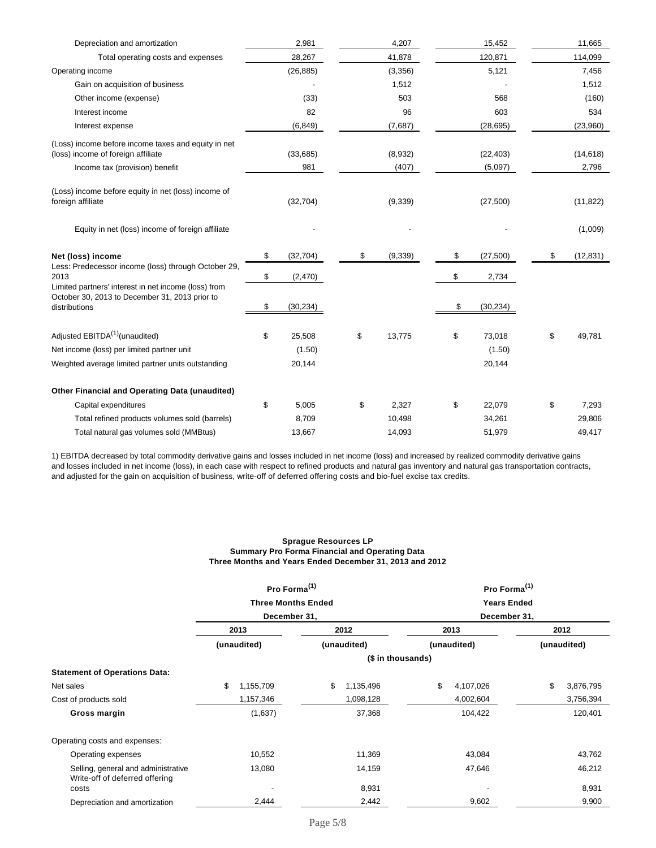| Depreciation and amortization                                                                                               | 2,981           | 4,207            | 15,452               | 11,665             |
|-----------------------------------------------------------------------------------------------------------------------------|-----------------|------------------|----------------------|--------------------|
| Total operating costs and expenses                                                                                          | 28,267          | 41,878           | 120,871              | 114,099            |
| Operating income                                                                                                            | (26, 885)       | (3,356)          | 5,121                | 7,456              |
| Gain on acquisition of business                                                                                             |                 | 1,512            |                      | 1,512              |
| Other income (expense)                                                                                                      | (33)            | 503              | 568                  | (160)              |
| Interest income                                                                                                             | 82              | 96               | 603                  | 534                |
| Interest expense                                                                                                            | (6, 849)        | (7,687)          | (28, 695)            | (23,960)           |
| (Loss) income before income taxes and equity in net<br>(loss) income of foreign affiliate<br>Income tax (provision) benefit | (33,685)<br>981 | (8,932)<br>(407) | (22, 403)<br>(5,097) | (14, 618)<br>2,796 |
| (Loss) income before equity in net (loss) income of<br>foreign affiliate                                                    | (32, 704)       | (9, 339)         | (27, 500)            | (11, 822)          |
| Equity in net (loss) income of foreign affiliate                                                                            |                 |                  |                      | (1,009)            |
| Net (loss) income                                                                                                           | \$<br>(32, 704) | \$<br>(9, 339)   | \$<br>(27, 500)      | \$<br>(12, 831)    |
| Less: Predecessor income (loss) through October 29,<br>2013                                                                 | \$<br>(2,470)   |                  | \$<br>2,734          |                    |
| Limited partners' interest in net income (loss) from<br>October 30, 2013 to December 31, 2013 prior to<br>distributions     | \$<br>(30, 234) |                  | \$<br>(30, 234)      |                    |
| Adjusted EBITDA <sup>(1)</sup> (unaudited)                                                                                  | \$<br>25,508    | \$<br>13,775     | \$<br>73,018         | \$<br>49,781       |
| Net income (loss) per limited partner unit                                                                                  | (1.50)          |                  | (1.50)               |                    |
| Weighted average limited partner units outstanding                                                                          | 20,144          |                  | 20,144               |                    |
| Other Financial and Operating Data (unaudited)                                                                              |                 |                  |                      |                    |
| Capital expenditures                                                                                                        | \$<br>5,005     | \$<br>2,327      | \$<br>22,079         | \$<br>7,293        |
| Total refined products volumes sold (barrels)                                                                               | 8,709           | 10,498           | 34,261               | 29,806             |
| Total natural gas volumes sold (MMBtus)                                                                                     | 13,667          | 14,093           | 51,979               | 49,417             |

1) EBITDA decreased by total commodity derivative gains and losses included in net income (loss) and increased by realized commodity derivative gains and losses included in net income (loss), in each case with respect to refined products and natural gas inventory and natural gas transportation contracts, and adjusted for the gain on acquisition of business, write-off of deferred offering costs and bio-fuel excise tax credits.

#### **Sprague Resources LP Summary Pro Forma Financial and Operating Data Three Months and Years Ended December 31, 2013 and 2012**

|                                                                       | Pro Forma <sup>(1)</sup>  |                   | Pro Forma <sup>(1)</sup>           |                     |  |  |
|-----------------------------------------------------------------------|---------------------------|-------------------|------------------------------------|---------------------|--|--|
|                                                                       | <b>Three Months Ended</b> |                   | <b>Years Ended</b><br>December 31, |                     |  |  |
|                                                                       | December 31,              |                   |                                    |                     |  |  |
|                                                                       | 2013                      | 2012              | 2013                               | 2012<br>(unaudited) |  |  |
|                                                                       | (unaudited)               | (unaudited)       | (unaudited)                        |                     |  |  |
|                                                                       |                           | (\$ in thousands) |                                    |                     |  |  |
| <b>Statement of Operations Data:</b>                                  |                           |                   |                                    |                     |  |  |
| Net sales                                                             | \$<br>1,155,709           | \$<br>1,135,496   | \$<br>4,107,026                    | \$<br>3,876,795     |  |  |
| Cost of products sold                                                 | 1,157,346                 | 1,098,128         | 4,002,604                          | 3,756,394           |  |  |
| Gross margin                                                          | (1,637)                   | 37,368            | 104,422                            | 120,401             |  |  |
| Operating costs and expenses:                                         |                           |                   |                                    |                     |  |  |
| Operating expenses                                                    | 10,552                    | 11,369            | 43,084                             | 43,762              |  |  |
| Selling, general and administrative<br>Write-off of deferred offering | 13,080                    | 14,159            | 47,646                             | 46,212              |  |  |
| costs                                                                 |                           | 8,931             |                                    | 8,931               |  |  |
| Depreciation and amortization                                         | 2,444                     | 2,442             | 9,602                              | 9,900               |  |  |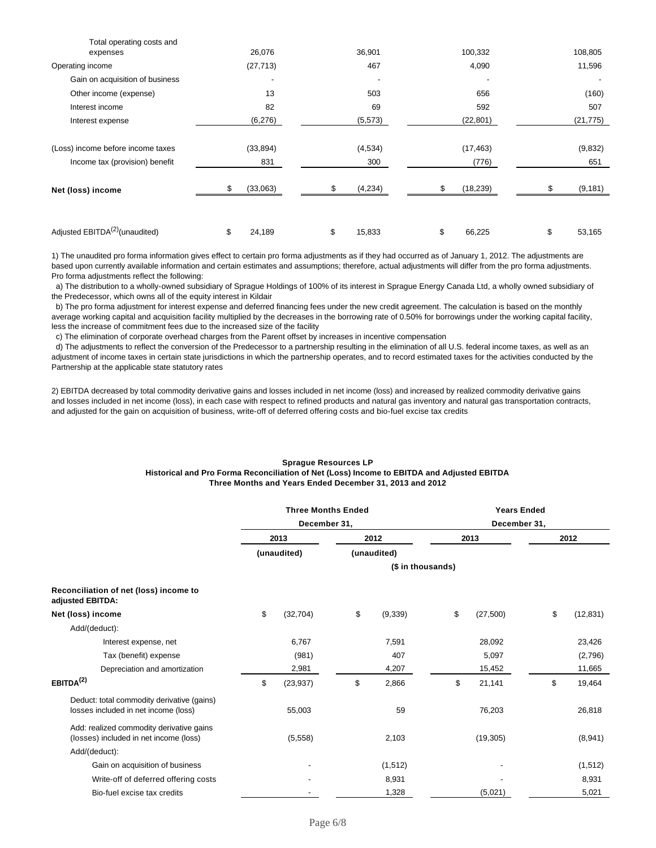| Total operating costs and                  |              | 36,901       |                 |              |
|--------------------------------------------|--------------|--------------|-----------------|--------------|
| expenses                                   | 26,076       |              | 100,332         | 108,805      |
| Operating income                           | (27, 713)    | 467          | 4,090           | 11,596       |
| Gain on acquisition of business            |              |              |                 |              |
| Other income (expense)                     | 13           | 503          | 656             | (160)        |
| Interest income                            | 82           | 69           | 592             | 507          |
| Interest expense                           | (6,276)      | (5, 573)     | (22, 801)       | (21, 775)    |
|                                            |              |              |                 |              |
| (Loss) income before income taxes          | (33, 894)    | (4,534)      | (17, 463)       | (9,832)      |
| Income tax (provision) benefit             | 831          | 300          | (776)           | 651          |
|                                            |              |              |                 |              |
| Net (loss) income                          | (33,063)     | (4,234)      | \$<br>(18, 239) | (9, 181)     |
|                                            |              |              |                 |              |
|                                            |              |              |                 |              |
| Adjusted EBITDA <sup>(2)</sup> (unaudited) | \$<br>24,189 | \$<br>15,833 | \$<br>66,225    | \$<br>53,165 |
|                                            |              |              |                 |              |

1) The unaudited pro forma information gives effect to certain pro forma adjustments as if they had occurred as of January 1, 2012. The adjustments are based upon currently available information and certain estimates and assumptions; therefore, actual adjustments will differ from the pro forma adjustments. Pro forma adjustments reflect the following:

 a) The distribution to a wholly-owned subsidiary of Sprague Holdings of 100% of its interest in Sprague Energy Canada Ltd, a wholly owned subsidiary of the Predecessor, which owns all of the equity interest in Kildair

 b) The pro forma adjustment for interest expense and deferred financing fees under the new credit agreement. The calculation is based on the monthly average working capital and acquisition facility multiplied by the decreases in the borrowing rate of 0.50% for borrowings under the working capital facility, less the increase of commitment fees due to the increased size of the facility

c) The elimination of corporate overhead charges from the Parent offset by increases in incentive compensation

 d) The adjustments to reflect the conversion of the Predecessor to a partnership resulting in the elimination of all U.S. federal income taxes, as well as an adjustment of income taxes in certain state jurisdictions in which the partnership operates, and to record estimated taxes for the activities conducted by the Partnership at the applicable state statutory rates

2) EBITDA decreased by total commodity derivative gains and losses included in net income (loss) and increased by realized commodity derivative gains and losses included in net income (loss), in each case with respect to refined products and natural gas inventory and natural gas transportation contracts, and adjusted for the gain on acquisition of business, write-off of deferred offering costs and bio-fuel excise tax credits

#### **Sprague Resources LP Historical and Pro Forma Reconciliation of Net (Loss) Income to EBITDA and Adjusted EBITDA Three Months and Years Ended December 31, 2013 and 2012**

| <b>Three Months Ended</b><br>December 31, |           |                     | <b>Years Ended</b> |                     |                   |      |           |
|-------------------------------------------|-----------|---------------------|--------------------|---------------------|-------------------|------|-----------|
|                                           |           |                     |                    | December 31,        |                   |      |           |
|                                           |           |                     |                    |                     |                   | 2012 |           |
|                                           |           |                     |                    |                     |                   |      |           |
|                                           |           |                     |                    |                     |                   |      |           |
|                                           |           |                     |                    |                     |                   |      |           |
| \$                                        | (32, 704) | \$                  | (9, 339)           | \$                  | (27, 500)         | \$   | (12, 831) |
|                                           |           |                     |                    |                     |                   |      |           |
|                                           | 6,767     |                     | 7,591              |                     | 28,092            |      | 23,426    |
|                                           | (981)     |                     | 407                |                     | 5,097             |      | (2,796)   |
|                                           | 2,981     |                     | 4,207              |                     | 15,452            |      | 11,665    |
| \$                                        | (23, 937) | \$                  | 2,866              | \$                  | 21,141            | \$   | 19,464    |
|                                           | 55,003    |                     | 59                 |                     | 76,203            |      | 26,818    |
|                                           | (5,558)   |                     | 2,103              |                     | (19, 305)         |      | (8,941)   |
|                                           |           |                     |                    |                     |                   |      |           |
|                                           |           |                     | (1, 512)           |                     |                   |      | (1, 512)  |
|                                           |           |                     | 8,931              |                     |                   |      | 8,931     |
|                                           |           |                     | 1,328              |                     | (5,021)           |      | 5,021     |
|                                           |           | 2013<br>(unaudited) |                    | 2012<br>(unaudited) | (\$ in thousands) | 2013 |           |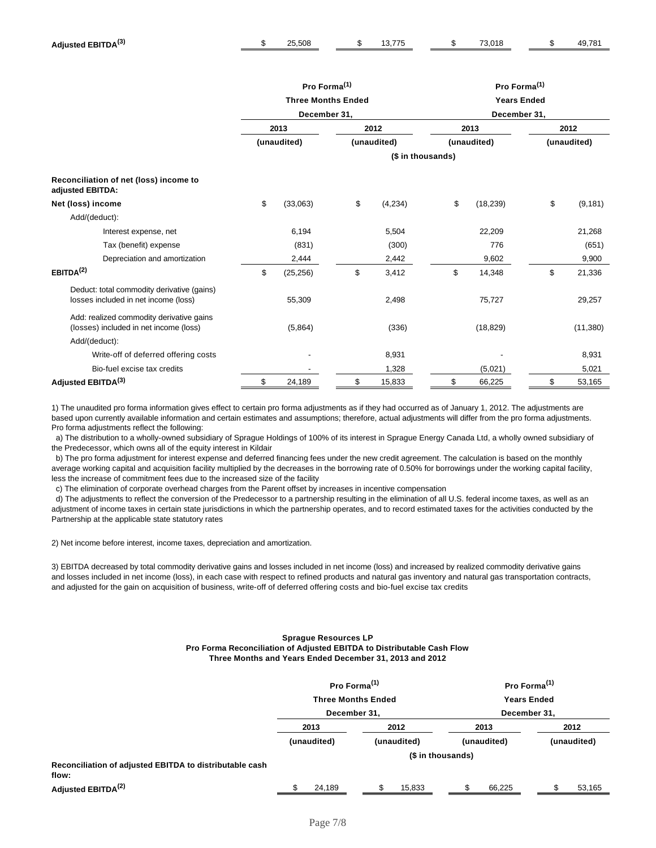|                                                                                    | Pro Forma <sup>(1)</sup><br><b>Three Months Ended</b> |              |    | Pro Forma <sup>(1)</sup><br><b>Years Ended</b> |    |              |             |          |
|------------------------------------------------------------------------------------|-------------------------------------------------------|--------------|----|------------------------------------------------|----|--------------|-------------|----------|
|                                                                                    |                                                       |              |    |                                                |    |              |             |          |
|                                                                                    |                                                       | December 31, |    |                                                |    | December 31, |             |          |
|                                                                                    |                                                       | 2013         |    | 2012                                           |    | 2013         |             | 2012     |
|                                                                                    |                                                       | (unaudited)  |    | (unaudited)                                    |    | (unaudited)  | (unaudited) |          |
|                                                                                    |                                                       |              |    | (\$ in thousands)                              |    |              |             |          |
| Reconciliation of net (loss) income to<br>adjusted EBITDA:                         |                                                       |              |    |                                                |    |              |             |          |
| Net (loss) income                                                                  | \$                                                    | (33,063)     | \$ | (4,234)                                        | \$ | (18, 239)    | \$          | (9, 181) |
| Add/(deduct):                                                                      |                                                       |              |    |                                                |    |              |             |          |
| Interest expense, net                                                              |                                                       | 6,194        |    | 5,504                                          |    | 22,209       |             | 21,268   |
| Tax (benefit) expense                                                              |                                                       | (831)        |    | (300)                                          |    | 776          |             | (651)    |
| Depreciation and amortization                                                      |                                                       | 2,444        |    | 2,442                                          |    | 9,602        |             | 9,900    |
| EBITDA <sup>(2)</sup>                                                              | \$                                                    | (25, 256)    | \$ | 3,412                                          | \$ | 14,348       | \$          | 21,336   |
| Deduct: total commodity derivative (gains)<br>losses included in net income (loss) |                                                       | 55,309       |    | 2,498                                          |    | 75,727       |             | 29,257   |
| Add: realized commodity derivative gains<br>(losses) included in net income (loss) |                                                       | (5,864)      |    | (336)                                          |    | (18, 829)    |             | (11,380) |
| Add/(deduct):                                                                      |                                                       |              |    |                                                |    |              |             |          |
| Write-off of deferred offering costs                                               |                                                       |              |    | 8,931                                          |    |              |             | 8,931    |
| Bio-fuel excise tax credits                                                        |                                                       |              |    | 1,328                                          |    | (5,021)      |             | 5,021    |
| Adjusted EBITDA(3)                                                                 | \$                                                    | 24,189       | \$ | 15,833                                         | \$ | 66,225       | \$          | 53,165   |

1) The unaudited pro forma information gives effect to certain pro forma adjustments as if they had occurred as of January 1, 2012. The adjustments are based upon currently available information and certain estimates and assumptions; therefore, actual adjustments will differ from the pro forma adjustments. Pro forma adjustments reflect the following:

 a) The distribution to a wholly-owned subsidiary of Sprague Holdings of 100% of its interest in Sprague Energy Canada Ltd, a wholly owned subsidiary of the Predecessor, which owns all of the equity interest in Kildair

 b) The pro forma adjustment for interest expense and deferred financing fees under the new credit agreement. The calculation is based on the monthly average working capital and acquisition facility multiplied by the decreases in the borrowing rate of 0.50% for borrowings under the working capital facility, less the increase of commitment fees due to the increased size of the facility

c) The elimination of corporate overhead charges from the Parent offset by increases in incentive compensation

 d) The adjustments to reflect the conversion of the Predecessor to a partnership resulting in the elimination of all U.S. federal income taxes, as well as an adjustment of income taxes in certain state jurisdictions in which the partnership operates, and to record estimated taxes for the activities conducted by the Partnership at the applicable state statutory rates

2) Net income before interest, income taxes, depreciation and amortization.

3) EBITDA decreased by total commodity derivative gains and losses included in net income (loss) and increased by realized commodity derivative gains and losses included in net income (loss), in each case with respect to refined products and natural gas inventory and natural gas transportation contracts, and adjusted for the gain on acquisition of business, write-off of deferred offering costs and bio-fuel excise tax credits

### **Sprague Resources LP Pro Forma Reconciliation of Adjusted EBITDA to Distributable Cash Flow Three Months and Years Ended December 31, 2013 and 2012**

|                                                                  | Pro Forma <sup>(1)</sup><br><b>Three Months Ended</b> |                   | Pro Forma <sup>(1)</sup><br><b>Years Ended</b> |             |  |
|------------------------------------------------------------------|-------------------------------------------------------|-------------------|------------------------------------------------|-------------|--|
|                                                                  | December 31,                                          |                   | December 31,                                   |             |  |
|                                                                  | 2012<br>2013                                          |                   | 2013                                           | 2012        |  |
|                                                                  | (unaudited)                                           | (unaudited)       | (unaudited)                                    | (unaudited) |  |
|                                                                  |                                                       | (\$ in thousands) |                                                |             |  |
| Reconciliation of adjusted EBITDA to distributable cash<br>flow: |                                                       |                   |                                                |             |  |
| Adjusted EBITDA <sup>(2)</sup>                                   | 24,189                                                | 15,833            | 66,225                                         | 53,165      |  |